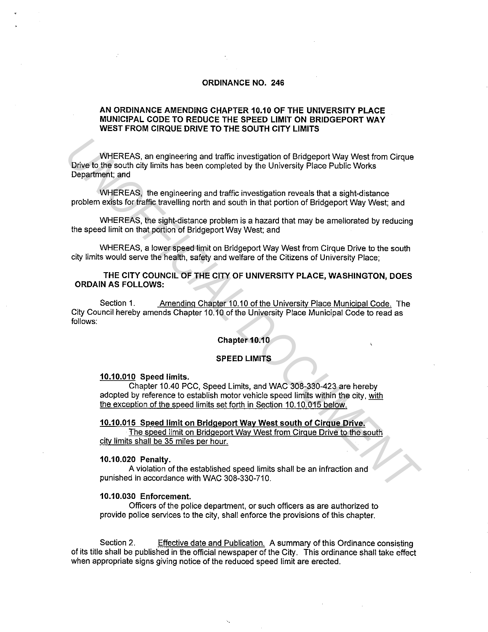## **ORDINANCE NO. 246**

### **AN ORDINANCE AMENDING CHAPTER 10.10 OF THE UNIVERSITY PLACE MUNICIPAL CODE TO REDUCE THE SPEED LIMIT ON BRIDGEPORT WAY WEST FROM CIRQUE DRIVE TO THE SOUTH CITY LIMITS**

WHEREAS, an engineering and traffic investigation of Bridgeport Way West from Cirque Drive to the south city limits has been completed by the University Place Public Works Department; and **WHEREAS, an engineering and traffic investigation of Bridgeport Way West from Cirque<br>
Drive to the south city limits has been completed by the University Place Public Works<br>
Department, and<br>
WHEREAS, the engineering and t** 

WHEREAS, the engineering and traffic investigation reveals that a sight-distance problem exists for traffic travelling north and south in that portion of Bridgeport Way West; and

WHEREAS, the sight-distance problem is a hazard that may be ameliorated by reducing the speed limit on that portion of Bridgeport Way West; and

WHEREAS, a lower speed limit on Bridgeport Way West from Cirque Drive to the south city limits would serve the health, safety and welfare of the Citizens of University Place;

## **THE CITY COUNCIL OF THE CITY OF UNIVERSITY PLACE, WASHINGTON, DOES ORDAIN AS FOLLOWS:**

Section 1. Amending Chapter 10.10 of the Universitv Place Municipal Code. The City Council hereby amends Chapter 10.10 of the University Place Municipal Code to read as follows:

### **Chapter 10.10**

#### **SPEED LIMITS**

#### **10.10.010 Speed limits.**

Chapter 10.40 PCC, Speed Limits, and WAC 308-330-423 are hereby adopted by reference to establish motor vehicle speed limits within the city, with the exception of the speed limits set forth in Section 10.10.015 below.

### **10.10.015 Speed limit on Bridgeport Way West south of Cirque Drive.**

The speed limit on Bridgeport Way West from Cirque Drive to the south city limits shall be 35 miles per hour.

#### **10.10.020 Penalty.**

A violation of the established speed limits shall be an infraction and punished in accordance with WAC 308-330-710.

#### **10.10.030 Enforcement.**

Officers of the police department, or such officers as are authorized to provide police services to the city, shall enforce the provisions of this chapter.

Section 2. Effective date and Publication. A summary of this Ordinance consisting of its title shall be published in the official newspaper of the City. This ordinance shall take effect when appropriate signs giving notice of the reduced speed limit are erected.